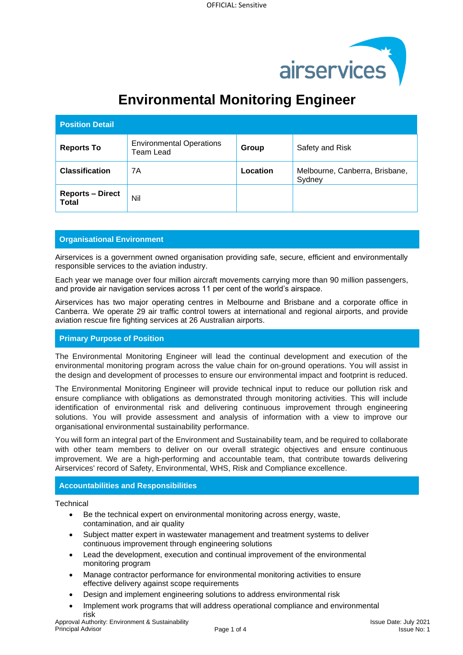

# **Environmental Monitoring Engineer**

| <b>Position Detail</b>                  |                                                     |          |                                          |
|-----------------------------------------|-----------------------------------------------------|----------|------------------------------------------|
| <b>Reports To</b>                       | <b>Environmental Operations</b><br><b>Team Lead</b> | Group    | Safety and Risk                          |
| <b>Classification</b>                   | 7A                                                  | Location | Melbourne, Canberra, Brisbane,<br>Sydney |
| <b>Reports - Direct</b><br><b>Total</b> | Nil                                                 |          |                                          |

## **Organisational Environment**

Airservices is a government owned organisation providing safe, secure, efficient and environmentally responsible services to the aviation industry.

Each year we manage over four million aircraft movements carrying more than 90 million passengers, and provide air navigation services across 11 per cent of the world's airspace.

Airservices has two major operating centres in Melbourne and Brisbane and a corporate office in Canberra. We operate 29 air traffic control towers at international and regional airports, and provide aviation rescue fire fighting services at 26 Australian airports.

## **Primary Purpose of Position**

The Environmental Monitoring Engineer will lead the continual development and execution of the environmental monitoring program across the value chain for on-ground operations. You will assist in the design and development of processes to ensure our environmental impact and footprint is reduced.

The Environmental Monitoring Engineer will provide technical input to reduce our pollution risk and ensure compliance with obligations as demonstrated through monitoring activities. This will include identification of environmental risk and delivering continuous improvement through engineering solutions. You will provide assessment and analysis of information with a view to improve our organisational environmental sustainability performance.

You will form an integral part of the Environment and Sustainability team, and be required to collaborate with other team members to deliver on our overall strategic objectives and ensure continuous improvement. We are a high-performing and accountable team, that contribute towards delivering Airservices' record of Safety, Environmental, WHS, Risk and Compliance excellence.

## **Accountabilities and Responsibilities**

**Technical** 

- Be the technical expert on environmental monitoring across energy, waste, contamination, and air quality
- Subject matter expert in wastewater management and treatment systems to deliver continuous improvement through engineering solutions
- Lead the development, execution and continual improvement of the environmental monitoring program
- Manage contractor performance for environmental monitoring activities to ensure effective delivery against scope requirements
- Design and implement engineering solutions to address environmental risk
- Implement work programs that will address operational compliance and environmental risk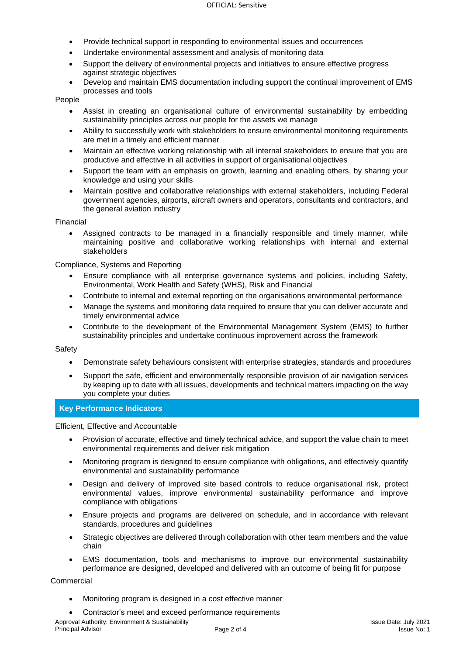- Provide technical support in responding to environmental issues and occurrences
- Undertake environmental assessment and analysis of monitoring data
- Support the delivery of environmental projects and initiatives to ensure effective progress against strategic objectives
- Develop and maintain EMS documentation including support the continual improvement of EMS processes and tools

People

- Assist in creating an organisational culture of environmental sustainability by embedding sustainability principles across our people for the assets we manage
- Ability to successfully work with stakeholders to ensure environmental monitoring requirements are met in a timely and efficient manner
- Maintain an effective working relationship with all internal stakeholders to ensure that you are productive and effective in all activities in support of organisational objectives
- Support the team with an emphasis on growth, learning and enabling others, by sharing your knowledge and using your skills
- Maintain positive and collaborative relationships with external stakeholders, including Federal government agencies, airports, aircraft owners and operators, consultants and contractors, and the general aviation industry

#### Financial

• Assigned contracts to be managed in a financially responsible and timely manner, while maintaining positive and collaborative working relationships with internal and external stakeholders

Compliance, Systems and Reporting

- Ensure compliance with all enterprise governance systems and policies, including Safety, Environmental, Work Health and Safety (WHS), Risk and Financial
- Contribute to internal and external reporting on the organisations environmental performance
- Manage the systems and monitoring data required to ensure that you can deliver accurate and timely environmental advice
- Contribute to the development of the Environmental Management System (EMS) to further sustainability principles and undertake continuous improvement across the framework

#### Safety

- Demonstrate safety behaviours consistent with enterprise strategies, standards and procedures
- Support the safe, efficient and environmentally responsible provision of air navigation services by keeping up to date with all issues, developments and technical matters impacting on the way you complete your duties

#### **Key Performance Indicators**

Efficient, Effective and Accountable

- Provision of accurate, effective and timely technical advice, and support the value chain to meet environmental requirements and deliver risk mitigation
- Monitoring program is designed to ensure compliance with obligations, and effectively quantify environmental and sustainability performance
- Design and delivery of improved site based controls to reduce organisational risk, protect environmental values, improve environmental sustainability performance and improve compliance with obligations
- Ensure projects and programs are delivered on schedule, and in accordance with relevant standards, procedures and guidelines
- Strategic objectives are delivered through collaboration with other team members and the value chain
- EMS documentation, tools and mechanisms to improve our environmental sustainability performance are designed, developed and delivered with an outcome of being fit for purpose

#### **Commercial**

- Monitoring program is designed in a cost effective manner
- Contractor's meet and exceed performance requirements

Approval Authority: Environment & Sustainability Principal Advisor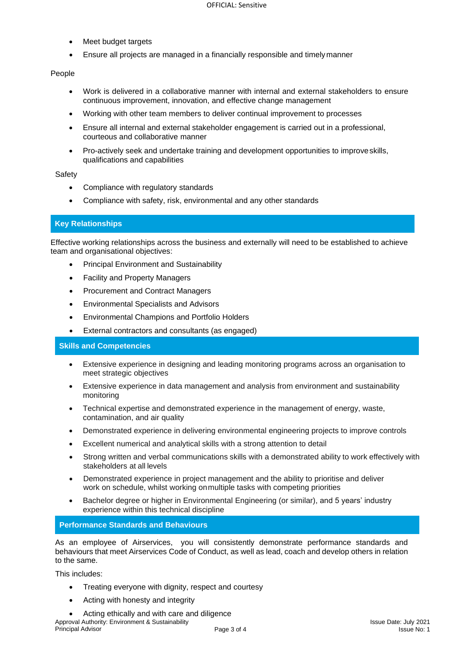- Meet budget targets
- Ensure all projects are managed in a financially responsible and timelymanner

#### People

- Work is delivered in a collaborative manner with internal and external stakeholders to ensure continuous improvement, innovation, and effective change management
- Working with other team members to deliver continual improvement to processes
- Ensure all internal and external stakeholder engagement is carried out in a professional, courteous and collaborative manner
- Pro-actively seek and undertake training and development opportunities to improveskills, qualifications and capabilities

#### **Safety**

- Compliance with regulatory standards
- Compliance with safety, risk, environmental and any other standards

## **Key Relationships**

Effective working relationships across the business and externally will need to be established to achieve team and organisational objectives:

- Principal Environment and Sustainability
- Facility and Property Managers
- Procurement and Contract Managers
- Environmental Specialists and Advisors
- Environmental Champions and Portfolio Holders
- External contractors and consultants (as engaged)

#### **Skills and Competencies**

- Extensive experience in designing and leading monitoring programs across an organisation to meet strategic objectives
- Extensive experience in data management and analysis from environment and sustainability monitoring
- Technical expertise and demonstrated experience in the management of energy, waste, contamination, and air quality
- Demonstrated experience in delivering environmental engineering projects to improve controls
- Excellent numerical and analytical skills with a strong attention to detail
- Strong written and verbal communications skills with a demonstrated ability to work effectively with stakeholders at all levels
- Demonstrated experience in project management and the ability to prioritise and deliver work on schedule, whilst working onmultiple tasks with competing priorities
- Bachelor degree or higher in Environmental Engineering (or similar), and 5 years' industry experience within this technical discipline

## **Performance Standards and Behaviours**

As an employee of Airservices, you will consistently demonstrate performance standards and behaviours that meet Airservices Code of Conduct, as well as lead, coach and develop others in relation to the same.

This includes:

- Treating everyone with dignity, respect and courtesy
- Acting with honesty and integrity
- Approval Authority: Environment & Sustainability Principal Advisor • Acting ethically and with care and diligence